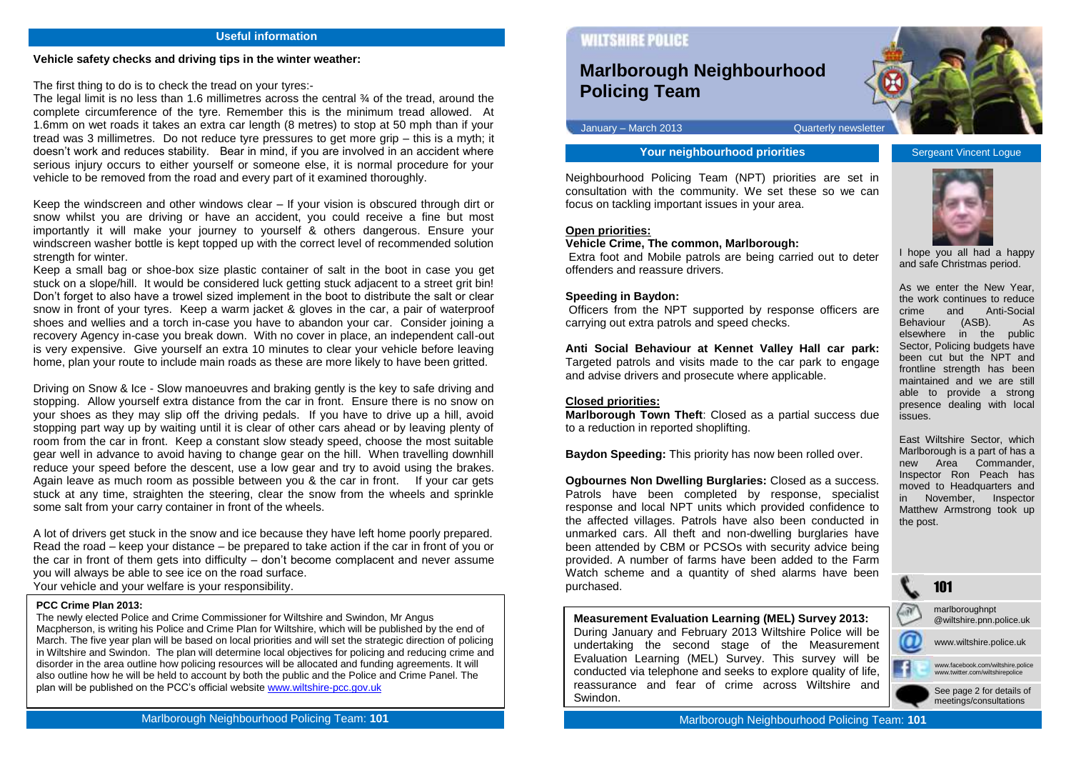#### **Useful information**

#### **Vehicle safety checks and driving tips in the winter weather:**

The first thing to do is to check the tread on your tyres:-

The legal limit is no less than 1.6 millimetres across the central  $\frac{3}{4}$  of the tread, around the complete circumference of the tyre. Remember this is the minimum tread allowed. At 1.6mm on wet roads it takes an extra car length (8 metres) to stop at 50 mph than if your tread was 3 millimetres. Do not reduce tyre pressures to get more grip – this is a myth; it doesn't work and reduces stability. Bear in mind, if you are involved in an accident where serious injury occurs to either yourself or someone else, it is normal procedure for your vehicle to be removed from the road and every part of it examined thoroughly.

Keep the windscreen and other windows clear – If your vision is obscured through dirt or snow whilst you are driving or have an accident, you could receive a fine but most importantly it will make your journey to yourself & others dangerous. Ensure your windscreen washer bottle is kept topped up with the correct level of recommended solution strength for winter.

Keep a small bag or shoe-box size plastic container of salt in the boot in case you get stuck on a slope/hill. It would be considered luck getting stuck adjacent to a street grit bin! Don't forget to also have a trowel sized implement in the boot to distribute the salt or clear snow in front of your tyres. Keep a warm jacket & gloves in the car, a pair of waterproof shoes and wellies and a torch in-case you have to abandon your car. Consider joining a recovery Agency in-case you break down. With no cover in place, an independent call-out is very expensive. Give yourself an extra 10 minutes to clear your vehicle before leaving home, plan your route to include main roads as these are more likely to have been gritted.

Driving on Snow & Ice - Slow manoeuvres and braking gently is the key to safe driving and stopping. Allow yourself extra distance from the car in front. Ensure there is no snow on your shoes as they may slip off the driving pedals. If you have to drive up a hill, avoid stopping part way up by waiting until it is clear of other cars ahead or by leaving plenty of room from the car in front. Keep a constant slow steady speed, choose the most suitable gear well in advance to avoid having to change gear on the hill. When travelling downhill reduce your speed before the descent, use a low gear and try to avoid using the brakes. Again leave as much room as possible between you & the car in front. If your car gets stuck at any time, straighten the steering, clear the snow from the wheels and sprinkle some salt from your carry container in front of the wheels.

A lot of drivers get stuck in the snow and ice because they have left home poorly prepared. Read the road – keep your distance – be prepared to take action if the car in front of you or the car in front of them gets into difficulty – don't become complacent and never assume you will always be able to see ice on the road surface. Your vehicle and your welfare is your responsibility.

#### **PCC Crime Plan 2013:**

The newly elected Police and Crime Commissioner for Wiltshire and Swindon, Mr Angus Macpherson, is writing his Police and Crime Plan for Wiltshire, which will be published by the end of March. The five year plan will be based on local priorities and will set the strategic direction of policing in Wiltshire and Swindon. The plan will determine local objectives for policing and reducing crime and disorder in the area outline how policing resources will be allocated and funding agreements. It will also outline how he will be held to account by both the public and the Police and Crime Panel. The plan will be published on the PCC's official websit[e www.wiltshire-pcc.gov.uk](http://www.wiltshire-pcc.gov.uk/)

# **WILTSHIRE POLICE**

# **Marlborough Neighbourhood Policing Team**

January – March 2013 Quarterly newsletter

**Your neighbourhood priorities** Sergeant Vincent Logue

Neighbourhood Policing Team (NPT) priorities are set in consultation with the community. We set these so we can focus on tackling important issues in your area.

#### **Open priorities:**

#### **Vehicle Crime, The common, Marlborough:**

Extra foot and Mobile patrols are being carried out to deter offenders and reassure drivers.

### **Speeding in Baydon:**

Officers from the NPT supported by response officers are carrying out extra patrols and speed checks.

**Anti Social Behaviour at Kennet Valley Hall car park:**  Targeted patrols and visits made to the car park to engage and advise drivers and prosecute where applicable.

#### **Closed priorities:**

**Marlborough Town Theft**: Closed as a partial success due to a reduction in reported shoplifting.

**Baydon Speeding:** This priority has now been rolled over.

**Ogbournes Non Dwelling Burglaries:** Closed as a success. Patrols have been completed by response, specialist response and local NPT units which provided confidence to the affected villages. Patrols have also been conducted in unmarked cars. All theft and non-dwelling burglaries have been attended by CBM or PCSOs with security advice being provided. A number of farms have been added to the Farm Watch scheme and a quantity of shed alarms have been purchased.

**Measurement Evaluation Learning (MEL) Survey 2013:** During January and February 2013 Wiltshire Police will be undertaking the second stage of the Measurement Evaluation Learning (MEL) Survey. This survey will be conducted via telephone and seeks to explore quality of life, reassurance and fear of crime across Wiltshire and Swindon.

and safe Christmas period.

As we enter the New Year, the work continues to reduce<br>crime and Anti-Social Anti-Social Behaviour (ASB). As elsewhere in the public Sector, Policing budgets have been cut but the NPT and frontline strength has been maintained and we are still able to provide a strong presence dealing with local issues.

East Wiltshire Sector, which Marlborough is a part of has a new Area Commander, Inspector Ron Peach has moved to Headquarters and in November, Inspector Matthew Armstrong took up the post.

101

marlboroughnpt @wiltshire.pnn.police.uk

www.wiltshire.police.uk

www.facebook.com/wiltshire.police www.twitter.com/wiltshirepolice

> See page 2 for details of meetings/consultations